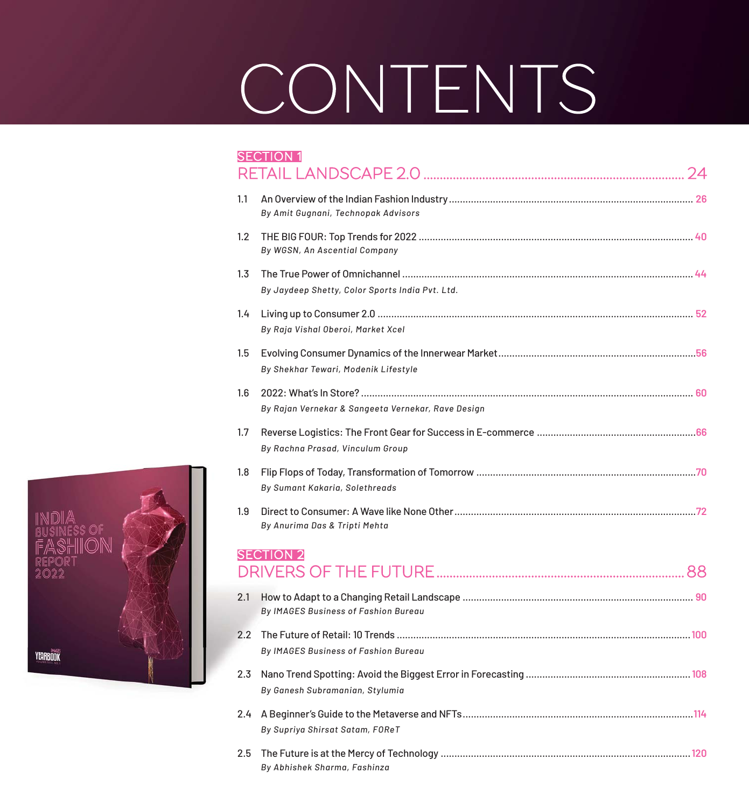## CONTENTS

|     | <b>SECTION 1</b>                                   |
|-----|----------------------------------------------------|
| 1.1 | By Amit Gugnani, Technopak Advisors                |
| 1.2 | By WGSN, An Ascential Company                      |
| 1.3 | By Jaydeep Shetty, Color Sports India Pvt. Ltd.    |
| 1.4 | By Raja Vishal Oberoi, Market Xcel                 |
| 1.5 | By Shekhar Tewari, Modenik Lifestyle               |
| 1.6 | By Rajan Vernekar & Sangeeta Vernekar, Rave Design |
| 1.7 | By Rachna Prasad, Vinculum Group                   |
| 1.8 | By Sumant Kakaria, Solethreads                     |
| 1.9 | By Anurima Das & Tripti Mehta                      |
|     | <b>SECTION 2</b>                                   |
| 2.1 | By IMAGES Business of Fashion Bureau               |
| 2.2 | By IMAGES Business of Fashion Bureau               |
| 2.3 | By Ganesh Subramanian, Stylumia                    |
| 2.4 | By Supriya Shirsat Satam, FOReT                    |
| 2.5 | By Abhishek Sharma, Fashinza                       |